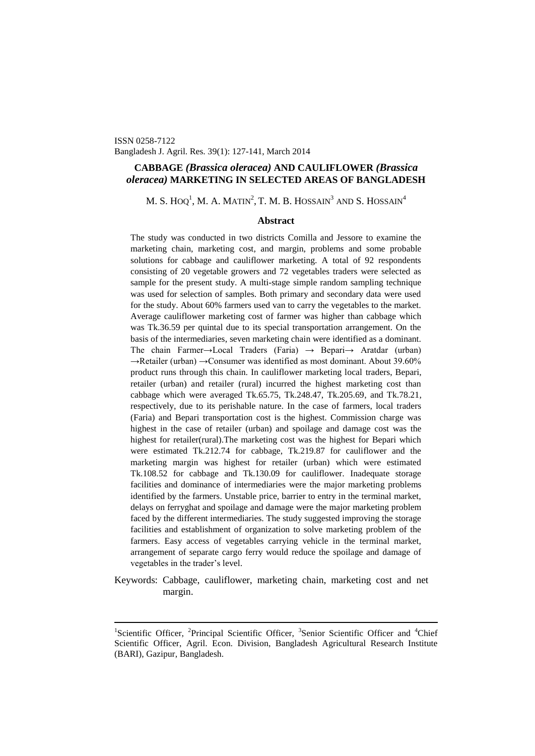ISSN 0258-7122 Bangladesh J. Agril. Res. 39(1): 127-141, March 2014

## **CABBAGE** *(Brassica oleracea)* **AND CAULIFLOWER** *(Brassica oleracea)* **MARKETING IN SELECTED AREAS OF BANGLADESH**

M. S. HOQ $^1$ , M. A. Matin $^2$ , T. M. B. HOSSAIN $^3$  and S. HOSSAIN $^4$ 

### **Abstract**

The study was conducted in two districts Comilla and Jessore to examine the marketing chain, marketing cost, and margin, problems and some probable solutions for cabbage and cauliflower marketing. A total of 92 respondents consisting of 20 vegetable growers and 72 vegetables traders were selected as sample for the present study. A multi-stage simple random sampling technique was used for selection of samples. Both primary and secondary data were used for the study. About 60% farmers used van to carry the vegetables to the market. Average cauliflower marketing cost of farmer was higher than cabbage which was Tk.36.59 per quintal due to its special transportation arrangement. On the basis of the intermediaries, seven marketing chain were identified as a dominant. The chain Farmer→Local Traders (Faria) → Bepari→ Aratdar (urban)  $\rightarrow$ Retailer (urban)  $\rightarrow$ Consumer was identified as most dominant. About 39.60% product runs through this chain. In cauliflower marketing local traders, Bepari, retailer (urban) and retailer (rural) incurred the highest marketing cost than cabbage which were averaged Tk.65.75, Tk.248.47, Tk.205.69, and Tk.78.21, respectively, due to its perishable nature. In the case of farmers, local traders (Faria) and Bepari transportation cost is the highest. Commission charge was highest in the case of retailer (urban) and spoilage and damage cost was the highest for retailer(rural).The marketing cost was the highest for Bepari which were estimated Tk.212.74 for cabbage, Tk.219.87 for cauliflower and the marketing margin was highest for retailer (urban) which were estimated Tk.108.52 for cabbage and Tk.130.09 for cauliflower. Inadequate storage facilities and dominance of intermediaries were the major marketing problems identified by the farmers. Unstable price, barrier to entry in the terminal market, delays on ferryghat and spoilage and damage were the major marketing problem faced by the different intermediaries. The study suggested improving the storage facilities and establishment of organization to solve marketing problem of the farmers. Easy access of vegetables carrying vehicle in the terminal market, arrangement of separate cargo ferry would reduce the spoilage and damage of vegetables in the trader's level.

Keywords: Cabbage, cauliflower, marketing chain, marketing cost and net margin.

<sup>&</sup>lt;sup>1</sup>Scientific Officer, <sup>2</sup>Principal Scientific Officer, <sup>3</sup>Senior Scientific Officer and <sup>4</sup>Chief Scientific Officer, Agril. Econ. Division, Bangladesh Agricultural Research Institute (BARI), Gazipur, Bangladesh.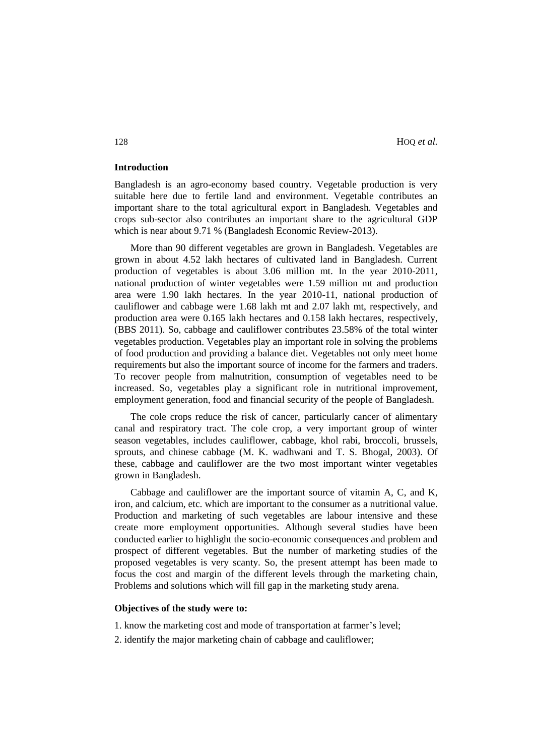## **Introduction**

Bangladesh is an agro-economy based country. Vegetable production is very suitable here due to fertile land and environment. Vegetable contributes an important share to the total agricultural export in Bangladesh. Vegetables and crops sub-sector also contributes an important share to the agricultural GDP which is near about 9.71 % (Bangladesh Economic Review-2013).

More than 90 different vegetables are grown in Bangladesh. Vegetables are grown in about 4.52 lakh hectares of cultivated land in Bangladesh. Current production of vegetables is about 3.06 million mt. In the year 2010-2011, national production of winter vegetables were 1.59 million mt and production area were 1.90 lakh hectares. In the year 2010-11, national production of cauliflower and cabbage were 1.68 lakh mt and 2.07 lakh mt, respectively, and production area were 0.165 lakh hectares and 0.158 lakh hectares, respectively, (BBS 2011). So, cabbage and cauliflower contributes 23.58% of the total winter vegetables production. Vegetables play an important role in solving the problems of food production and providing a balance diet. Vegetables not only meet home requirements but also the important source of income for the farmers and traders. To recover people from malnutrition, consumption of vegetables need to be increased. So, vegetables play a significant role in nutritional improvement, employment generation, food and financial security of the people of Bangladesh.

The cole crops reduce the risk of cancer, particularly cancer of alimentary canal and respiratory tract. The cole crop, a very important group of winter season vegetables, includes cauliflower, cabbage, khol rabi, broccoli, brussels, sprouts, and chinese cabbage (M. K. wadhwani and T. S. Bhogal, 2003). Of these, cabbage and cauliflower are the two most important winter vegetables grown in Bangladesh.

Cabbage and cauliflower are the important source of vitamin A, C, and K, iron, and calcium, etc. which are important to the consumer as a nutritional value. Production and marketing of such vegetables are labour intensive and these create more employment opportunities. Although several studies have been conducted earlier to highlight the socio-economic consequences and problem and prospect of different vegetables. But the number of marketing studies of the proposed vegetables is very scanty. So, the present attempt has been made to focus the cost and margin of the different levels through the marketing chain, Problems and solutions which will fill gap in the marketing study arena.

## **Objectives of the study were to:**

1. know the marketing cost and mode of transportation at farmer's level;

2. identify the major marketing chain of cabbage and cauliflower;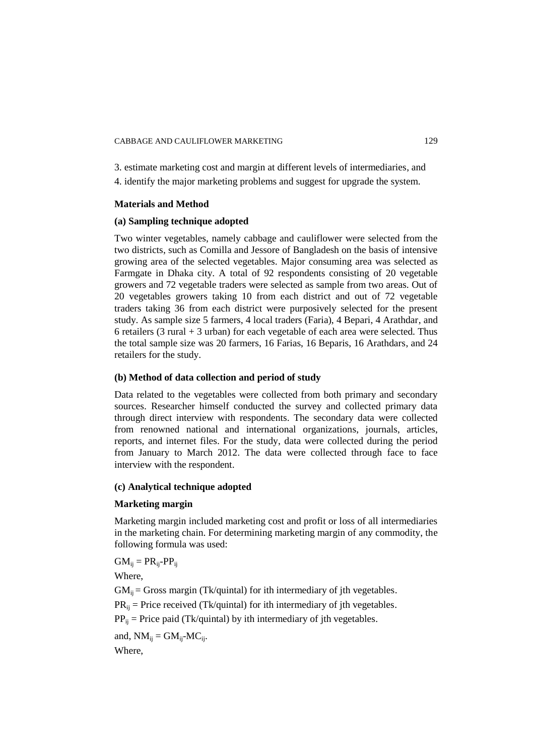3. estimate marketing cost and margin at different levels of intermediaries, and

4. identify the major marketing problems and suggest for upgrade the system.

#### **Materials and Method**

## **(a) Sampling technique adopted**

Two winter vegetables, namely cabbage and cauliflower were selected from the two districts, such as Comilla and Jessore of Bangladesh on the basis of intensive growing area of the selected vegetables. Major consuming area was selected as Farmgate in Dhaka city. A total of 92 respondents consisting of 20 vegetable growers and 72 vegetable traders were selected as sample from two areas. Out of 20 vegetables growers taking 10 from each district and out of 72 vegetable traders taking 36 from each district were purposively selected for the present study. As sample size 5 farmers, 4 local traders (Faria), 4 Bepari, 4 Arathdar, and 6 retailers (3 rural  $+$  3 urban) for each vegetable of each area were selected. Thus the total sample size was 20 farmers, 16 Farias, 16 Beparis, 16 Arathdars, and 24 retailers for the study.

## **(b) Method of data collection and period of study**

Data related to the vegetables were collected from both primary and secondary sources. Researcher himself conducted the survey and collected primary data through direct interview with respondents. The secondary data were collected from renowned national and international organizations, journals, articles, reports, and internet files. For the study, data were collected during the period from January to March 2012. The data were collected through face to face interview with the respondent.

## **(c) Analytical technique adopted**

#### **Marketing margin**

Marketing margin included marketing cost and profit or loss of all intermediaries in the marketing chain. For determining marketing margin of any commodity, the following formula was used:

 $GM_{ii} = PR_{ii} - PP_{ii}$ 

Where,

 $GM_{ij}$  = Gross margin (Tk/quintal) for ith intermediary of jth vegetables.

 $PR_{ii}$  = Price received (Tk/quintal) for ith intermediary of jth vegetables.

 $PP_{ij}$  = Price paid (Tk/quintal) by ith intermediary of jth vegetables.

and,  $NM_{ii} = GM_{ii}$ - $MC_{ii}$ . Where,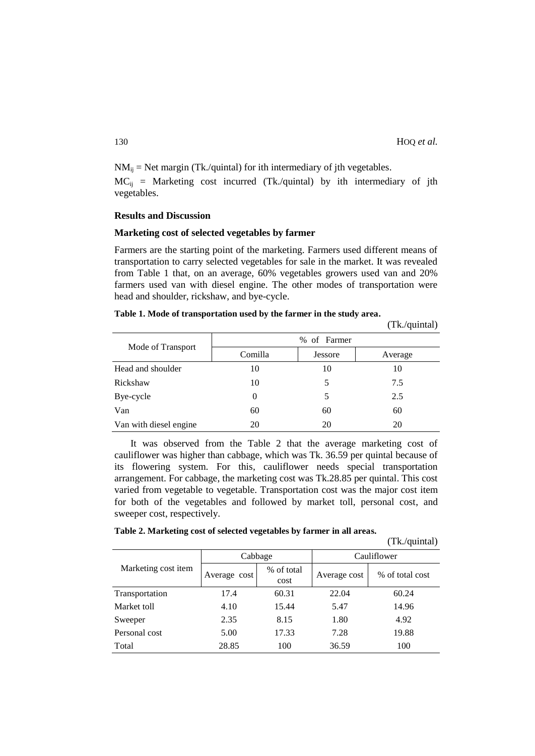$NM_{ii}$  = Net margin (Tk./quintal) for ith intermediary of jth vegetables.

 $MC_{ij}$  = Marketing cost incurred (Tk./quintal) by ith intermediary of jth vegetables.

### **Results and Discussion**

## **Marketing cost of selected vegetables by farmer**

Farmers are the starting point of the marketing. Farmers used different means of transportation to carry selected vegetables for sale in the market. It was revealed from Table 1 that, on an average, 60% vegetables growers used van and 20% farmers used van with diesel engine. The other modes of transportation were head and shoulder, rickshaw, and bye-cycle.

#### **Table 1. Mode of transportation used by the farmer in the study area.**

|                        |         |             | (Tk./quintal) |  |  |  |
|------------------------|---------|-------------|---------------|--|--|--|
|                        |         | % of Farmer |               |  |  |  |
| Mode of Transport      | Comilla | Jessore     | Average       |  |  |  |
| Head and shoulder      | 10      | 10          | 10            |  |  |  |
| Rickshaw               | 10      | 5           | 7.5           |  |  |  |
| Bye-cycle              | 0       | 5           | 2.5           |  |  |  |
| Van                    | 60      | 60          | 60            |  |  |  |
| Van with diesel engine | 20      | 20          | 20            |  |  |  |

It was observed from the Table 2 that the average marketing cost of cauliflower was higher than cabbage, which was Tk. 36.59 per quintal because of its flowering system. For this, cauliflower needs special transportation arrangement. For cabbage, the marketing cost was Tk.28.85 per quintal. This cost varied from vegetable to vegetable. Transportation cost was the major cost item for both of the vegetables and followed by market toll, personal cost, and sweeper cost, respectively.

|  | Table 2. Marketing cost of selected vegetables by farmer in all areas. |
|--|------------------------------------------------------------------------|
|--|------------------------------------------------------------------------|

(Tk./quintal)

|                     | Cabbage      |                    | Cauliflower  |                 |
|---------------------|--------------|--------------------|--------------|-----------------|
| Marketing cost item | Average cost | % of total<br>cost | Average cost | % of total cost |
| Transportation      | 17.4         | 60.31              | 22.04        | 60.24           |
| Market toll         | 4.10         | 15.44              | 5.47         | 14.96           |
| Sweeper             | 2.35         | 8.15               | 1.80         | 4.92            |
| Personal cost       | 5.00         | 17.33              | 7.28         | 19.88           |
| Total               | 28.85        | 100                | 36.59        | 100             |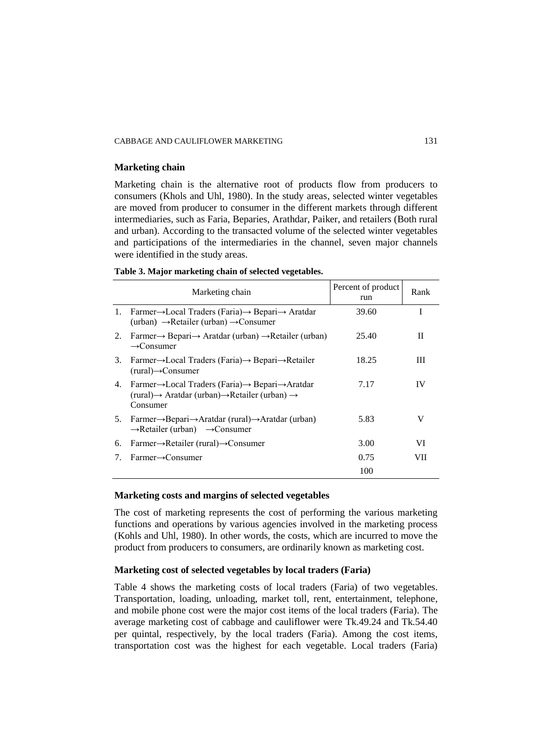### **Marketing chain**

Marketing chain is the alternative root of products flow from producers to consumers (Khols and Uhl, 1980). In the study areas, selected winter vegetables are moved from producer to consumer in the different markets through different intermediaries, such as Faria, Beparies, Arathdar, Paiker, and retailers (Both rural and urban). According to the transacted volume of the selected winter vegetables and participations of the intermediaries in the channel, seven major channels were identified in the study areas.

| Table 3. Major marketing chain of selected vegetables. |  |  |
|--------------------------------------------------------|--|--|
|                                                        |  |  |

|    | Marketing chain                                                                                                                                                                                            | Percent of product<br>run | Rank |
|----|------------------------------------------------------------------------------------------------------------------------------------------------------------------------------------------------------------|---------------------------|------|
| 1. | Farmer $\rightarrow$ Local Traders (Faria) $\rightarrow$ Bepari $\rightarrow$ Aratdar<br>$(urban) \rightarrow Retailer (urban) \rightarrow Consumer$                                                       | 39.60                     | I    |
| 2. | Farmer $\rightarrow$ Bepari $\rightarrow$ Aratdar (urban) $\rightarrow$ Retailer (urban)<br>$\rightarrow$ Consumer                                                                                         | 25.40                     | П    |
| 3. | $Farrmer \rightarrow Local Traders (Faria) \rightarrow Bepari \rightarrow Retailer$<br>$(rural) \rightarrow Consumer$                                                                                      | 18.25                     | Ш    |
| 4. | $\text{Farmer}\rightarrow \text{Local Traders}$ (Faria) $\rightarrow \text{Bepari}\rightarrow \text{Aradar}$<br>$(rural) \rightarrow Aratdar (urban) \rightarrow Retailer (urban) \rightarrow$<br>Consumer | 7.17                      | IV   |
| 5. | $\text{Farmer}\rightarrow\text{Bepari}\rightarrow\text{Arad}$ (rural) $\rightarrow\text{Arad}$ (urban)<br>$\rightarrow$ Retailer (urban) $\rightarrow$ Consumer                                            | 5.83                      | V    |
| 6. | Farmer $\rightarrow$ Retailer (rural) $\rightarrow$ Consumer                                                                                                                                               | 3.00                      | VI   |
| 7. | $Farner \rightarrow Consumer$                                                                                                                                                                              | 0.75                      | VII  |
|    |                                                                                                                                                                                                            | 100                       |      |

## **Marketing costs and margins of selected vegetables**

The cost of marketing represents the cost of performing the various marketing functions and operations by various agencies involved in the marketing process (Kohls and Uhl, 1980). In other words, the costs, which are incurred to move the product from producers to consumers, are ordinarily known as marketing cost.

## **Marketing cost of selected vegetables by local traders (Faria)**

Table 4 shows the marketing costs of local traders (Faria) of two vegetables. Transportation, loading, unloading, market toll, rent, entertainment, telephone, and mobile phone cost were the major cost items of the local traders (Faria). The average marketing cost of cabbage and cauliflower were Tk.49.24 and Tk.54.40 per quintal, respectively, by the local traders (Faria). Among the cost items, transportation cost was the highest for each vegetable. Local traders (Faria)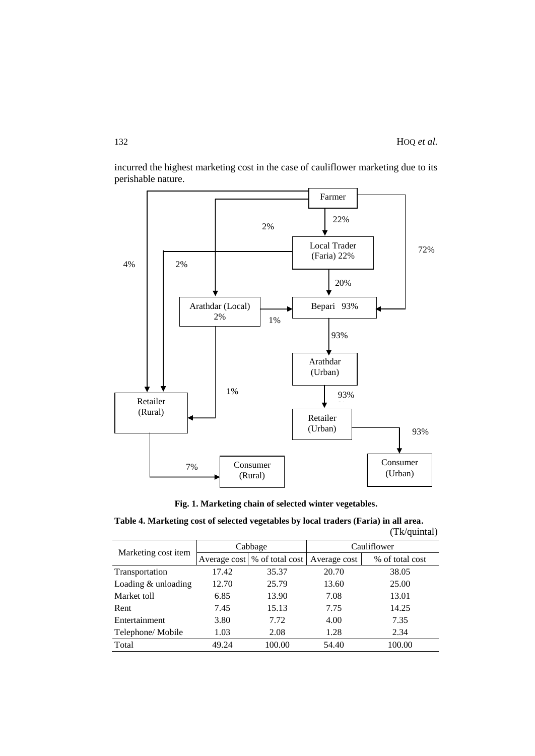incurred the highest marketing cost in the case of cauliflower marketing due to its perishable nature.



**Fig. 1. Marketing chain of selected winter vegetables.**

| Table 4. Marketing cost of selected vegetables by local traders (Faria) in all area. |  |              |
|--------------------------------------------------------------------------------------|--|--------------|
|                                                                                      |  | (Tk/quintal) |

| Marketing cost item   | Cabbage |                                | Cauliflower  |                 |  |
|-----------------------|---------|--------------------------------|--------------|-----------------|--|
|                       |         | Average cost   % of total cost | Average cost | % of total cost |  |
| Transportation        | 17.42   | 35.37                          | 20.70        | 38.05           |  |
| Loading $&$ unloading | 12.70   | 25.79                          | 13.60        | 25.00           |  |
| Market toll           | 6.85    | 13.90                          | 7.08         | 13.01           |  |
| Rent                  | 7.45    | 15.13                          | 7.75         | 14.25           |  |
| Entertainment         | 3.80    | 7.72                           | 4.00         | 7.35            |  |
| Telephone/Mobile      | 1.03    | 2.08                           | 1.28         | 2.34            |  |
| Total                 | 49.24   | 100.00                         | 54.40        | 100.00          |  |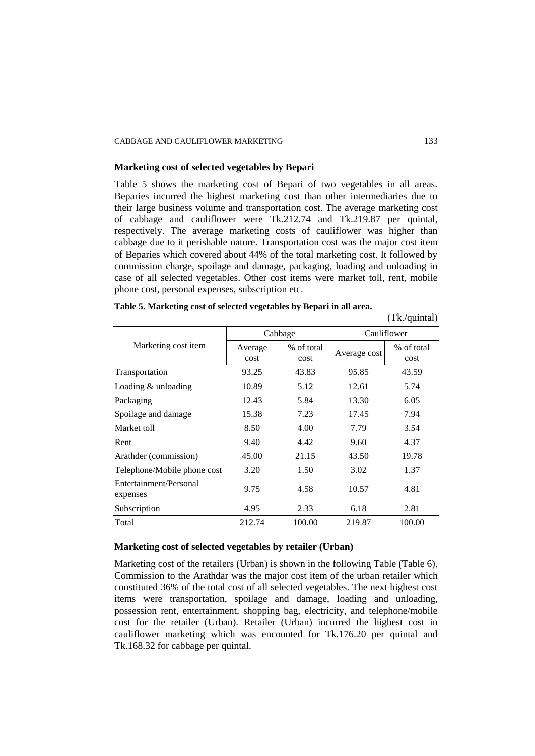## **Marketing cost of selected vegetables by Bepari**

Table 5 shows the marketing cost of Bepari of two vegetables in all areas. Beparies incurred the highest marketing cost than other intermediaries due to their large business volume and transportation cost. The average marketing cost of cabbage and cauliflower were Tk.212.74 and Tk.219.87 per quintal, respectively. The average marketing costs of cauliflower was higher than cabbage due to it perishable nature. Transportation cost was the major cost item of Beparies which covered about 44% of the total marketing cost. It followed by commission charge, spoilage and damage, packaging, loading and unloading in case of all selected vegetables. Other cost items were market toll, rent, mobile phone cost, personal expenses, subscription etc.

|                                    |                 |                    |              | $(1.1)$ quintary   |
|------------------------------------|-----------------|--------------------|--------------|--------------------|
|                                    |                 | Cabbage            | Cauliflower  |                    |
| Marketing cost item                | Average<br>cost | % of total<br>cost | Average cost | % of total<br>cost |
| Transportation                     | 93.25           | 43.83              | 95.85        | 43.59              |
| Loading $&$ unloading              | 10.89           | 5.12               | 12.61        | 5.74               |
| Packaging                          | 12.43           | 5.84               | 13.30        | 6.05               |
| Spoilage and damage                | 15.38           | 7.23               | 17.45        | 7.94               |
| Market toll                        | 8.50            | 4.00               | 7.79         | 3.54               |
| Rent                               | 9.40            | 4.42               | 9.60         | 4.37               |
| Arathder (commission)              | 45.00           | 21.15              | 43.50        | 19.78              |
| Telephone/Mobile phone cost        | 3.20            | 1.50               | 3.02         | 1.37               |
| Entertainment/Personal<br>expenses | 9.75            | 4.58               | 10.57        | 4.81               |
| Subscription                       | 4.95            | 2.33               | 6.18         | 2.81               |
| Total                              | 212.74          | 100.00             | 219.87       | 100.00             |

| Table 5. Marketing cost of selected vegetables by Bepari in all area. |  |  |
|-----------------------------------------------------------------------|--|--|
|                                                                       |  |  |

(Tk./quintal)

#### **Marketing cost of selected vegetables by retailer (Urban)**

Marketing cost of the retailers (Urban) is shown in the following Table (Table 6). Commission to the Arathdar was the major cost item of the urban retailer which constituted 36% of the total cost of all selected vegetables. The next highest cost items were transportation, spoilage and damage, loading and unloading, possession rent, entertainment, shopping bag, electricity, and telephone/mobile cost for the retailer (Urban). Retailer (Urban) incurred the highest cost in cauliflower marketing which was encounted for Tk.176.20 per quintal and Tk.168.32 for cabbage per quintal.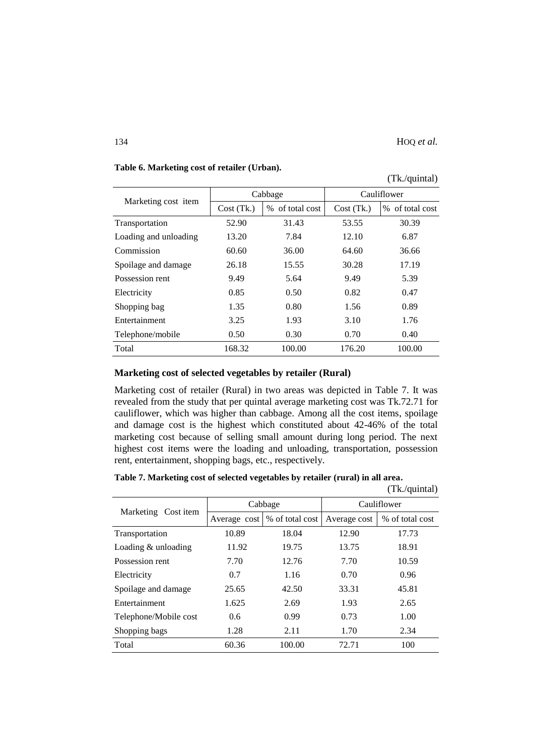|                       |            |                       |            | (Tk./quintal)      |  |
|-----------------------|------------|-----------------------|------------|--------------------|--|
|                       |            | Cabbage               |            | Cauliflower        |  |
| Marketing cost item   | Cost (Tk.) | of total cost<br>$\%$ | Cost (Tk.) | of total cost<br>% |  |
| Transportation        | 52.90      | 31.43                 | 53.55      | 30.39              |  |
| Loading and unloading | 13.20      | 7.84                  | 12.10      | 6.87               |  |
| Commission            | 60.60      | 36.00                 | 64.60      | 36.66              |  |
| Spoilage and damage   | 26.18      | 15.55                 | 30.28      | 17.19              |  |
| Possession rent       | 9.49       | 5.64                  | 9.49       | 5.39               |  |
| Electricity           | 0.85       | 0.50                  | 0.82       | 0.47               |  |
| Shopping bag          | 1.35       | 0.80                  | 1.56       | 0.89               |  |
| Entertainment         | 3.25       | 1.93                  | 3.10       | 1.76               |  |
| Telephone/mobile      | 0.50       | 0.30                  | 0.70       | 0.40               |  |
| Total                 | 168.32     | 100.00                | 176.20     | 100.00             |  |

## **Table 6. Marketing cost of retailer (Urban).**

## **Marketing cost of selected vegetables by retailer (Rural)**

Marketing cost of retailer (Rural) in two areas was depicted in Table 7. It was revealed from the study that per quintal average marketing cost was Tk.72.71 for cauliflower, which was higher than cabbage. Among all the cost items, spoilage and damage cost is the highest which constituted about 42-46% of the total marketing cost because of selling small amount during long period. The next highest cost items were the loading and unloading, transportation, possession rent, entertainment, shopping bags, etc., respectively.

|  | Table 7. Marketing cost of selected vegetables by retailer (rural) in all area. |  |
|--|---------------------------------------------------------------------------------|--|
|--|---------------------------------------------------------------------------------|--|

(Tk./quintal)

|                       | Cabbage      |                 | Cauliflower  |                 |
|-----------------------|--------------|-----------------|--------------|-----------------|
| Marketing Cost item   | Average cost | % of total cost | Average cost | % of total cost |
| Transportation        | 10.89        | 18.04           | 12.90        | 17.73           |
| Loading $&$ unloading | 11.92        | 19.75           | 13.75        | 18.91           |
| Possession rent       | 7.70         | 12.76           | 7.70         | 10.59           |
| Electricity           | 0.7          | 1.16            | 0.70         | 0.96            |
| Spoilage and damage   | 25.65        | 42.50           | 33.31        | 45.81           |
| Entertainment         | 1.625        | 2.69            | 1.93         | 2.65            |
| Telephone/Mobile cost | 0.6          | 0.99            | 0.73         | 1.00            |
| Shopping bags         | 1.28         | 2.11            | 1.70         | 2.34            |
| Total                 | 60.36        | 100.00          | 72.71        | 100             |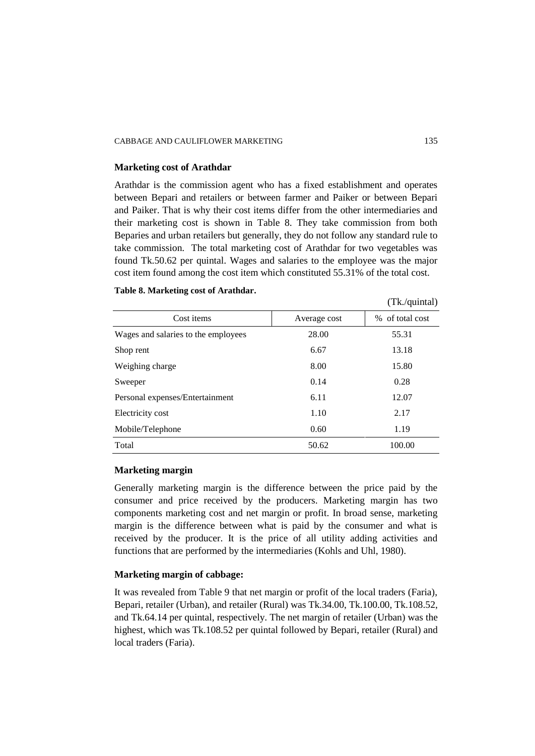#### **Marketing cost of Arathdar**

Arathdar is the commission agent who has a fixed establishment and operates between Bepari and retailers or between farmer and Paiker or between Bepari and Paiker. That is why their cost items differ from the other intermediaries and their marketing cost is shown in Table 8. They take commission from both Beparies and urban retailers but generally, they do not follow any standard rule to take commission. The total marketing cost of Arathdar for two vegetables was found Tk.50.62 per quintal. Wages and salaries to the employee was the major cost item found among the cost item which constituted 55.31% of the total cost.

|                                     |              | (Tk./quintal)   |
|-------------------------------------|--------------|-----------------|
| Cost items                          | Average cost | % of total cost |
| Wages and salaries to the employees | 28.00        | 55.31           |
| Shop rent                           | 6.67         | 13.18           |
| Weighing charge                     | 8.00         | 15.80           |
| Sweeper                             | 0.14         | 0.28            |
| Personal expenses/Entertainment     | 6.11         | 12.07           |
| Electricity cost                    | 1.10         | 2.17            |
| Mobile/Telephone                    | 0.60         | 1.19            |
| Total                               | 50.62        | 100.00          |

#### **Table 8. Marketing cost of Arathdar.**

## **Marketing margin**

Generally marketing margin is the difference between the price paid by the consumer and price received by the producers. Marketing margin has two components marketing cost and net margin or profit. In broad sense, marketing margin is the difference between what is paid by the consumer and what is received by the producer. It is the price of all utility adding activities and functions that are performed by the intermediaries (Kohls and Uhl, 1980).

## **Marketing margin of cabbage:**

It was revealed from Table 9 that net margin or profit of the local traders (Faria), Bepari, retailer (Urban), and retailer (Rural) was Tk.34.00, Tk.100.00, Tk.108.52, and Tk.64.14 per quintal, respectively. The net margin of retailer (Urban) was the highest, which was Tk.108.52 per quintal followed by Bepari, retailer (Rural) and local traders (Faria).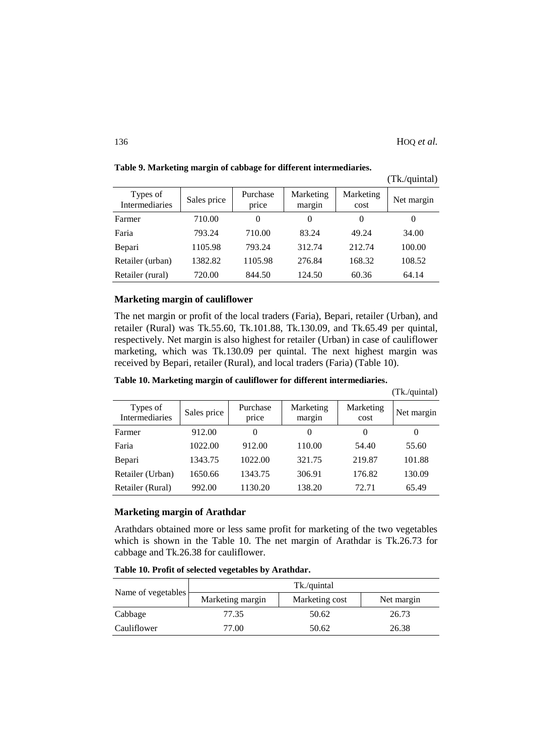|                                   |             |                   |                     |                   | (Tk./quintal) |
|-----------------------------------|-------------|-------------------|---------------------|-------------------|---------------|
| Types of<br><b>Intermediaries</b> | Sales price | Purchase<br>price | Marketing<br>margin | Marketing<br>cost | Net margin    |
| Farmer                            | 710.00      | 0                 | $\theta$            | $\Omega$          | 0             |
| Faria                             | 793.24      | 710.00            | 83.24               | 49.24             | 34.00         |
| Bepari                            | 1105.98     | 793.24            | 312.74              | 212.74            | 100.00        |
| Retailer (urban)                  | 1382.82     | 1105.98           | 276.84              | 168.32            | 108.52        |
| Retailer (rural)                  | 720.00      | 844.50            | 124.50              | 60.36             | 64.14         |

**Table 9. Marketing margin of cabbage for different intermediaries.**

## **Marketing margin of cauliflower**

The net margin or profit of the local traders (Faria), Bepari, retailer (Urban), and retailer (Rural) was Tk.55.60, Tk.101.88, Tk.130.09, and Tk.65.49 per quintal, respectively. Net margin is also highest for retailer (Urban) in case of cauliflower marketing, which was Tk.130.09 per quintal. The next highest margin was received by Bepari, retailer (Rural), and local traders (Faria) (Table 10).

|  |  |  |  | Table 10. Marketing margin of cauliflower for different intermediaries. |
|--|--|--|--|-------------------------------------------------------------------------|
|  |  |  |  |                                                                         |

|                                   |             |                   |                     |                   | (Tk./quintal) |
|-----------------------------------|-------------|-------------------|---------------------|-------------------|---------------|
| Types of<br><b>Intermediaries</b> | Sales price | Purchase<br>price | Marketing<br>margin | Marketing<br>cost | Net margin    |
| Farmer                            | 912.00      | 0                 | 0                   | $\theta$          | 0             |
| Faria                             | 1022.00     | 912.00            | 110.00              | 54.40             | 55.60         |
| Bepari                            | 1343.75     | 1022.00           | 321.75              | 219.87            | 101.88        |
| Retailer (Urban)                  | 1650.66     | 1343.75           | 306.91              | 176.82            | 130.09        |
| Retailer (Rural)                  | 992.00      | 1130.20           | 138.20              | 72.71             | 65.49         |

# **Marketing margin of Arathdar**

Arathdars obtained more or less same profit for marketing of the two vegetables which is shown in the Table 10. The net margin of Arathdar is Tk.26.73 for cabbage and Tk.26.38 for cauliflower.

|  |  |  | Table 10. Profit of selected vegetables by Arathdar. |  |  |
|--|--|--|------------------------------------------------------|--|--|
|--|--|--|------------------------------------------------------|--|--|

| Name of vegetables | Tk./quintal      |                |            |  |  |  |
|--------------------|------------------|----------------|------------|--|--|--|
|                    | Marketing margin | Marketing cost | Net margin |  |  |  |
| Cabbage            | 77.35            | 50.62          | 26.73      |  |  |  |
| Cauliflower        | 77.00            | 50.62          | 26.38      |  |  |  |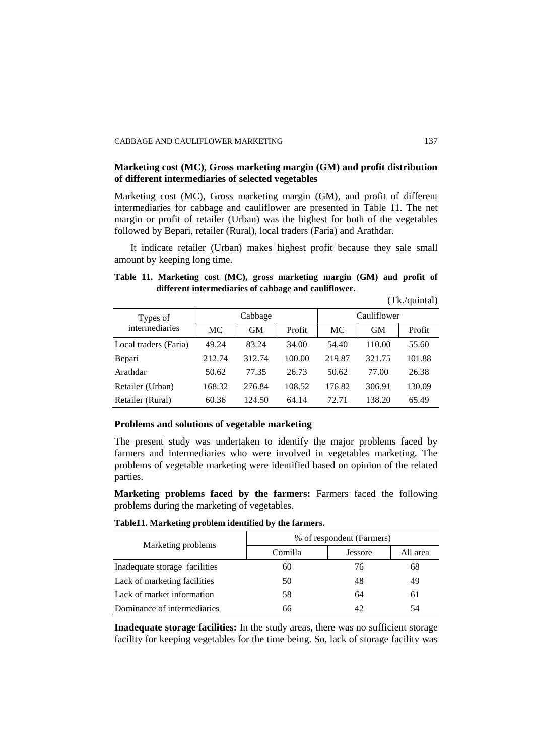# **Marketing cost (MC), Gross marketing margin (GM) and profit distribution of different intermediaries of selected vegetables**

Marketing cost (MC), Gross marketing margin (GM), and profit of different intermediaries for cabbage and cauliflower are presented in Table 11. The net margin or profit of retailer (Urban) was the highest for both of the vegetables followed by Bepari, retailer (Rural), local traders (Faria) and Arathdar.

It indicate retailer (Urban) makes highest profit because they sale small amount by keeping long time.

## **Table 11. Marketing cost (MC), gross marketing margin (GM) and profit of different intermediaries of cabbage and cauliflower.**

| Types of              |        | Cabbage |        |        | Cauliflower |        |
|-----------------------|--------|---------|--------|--------|-------------|--------|
| intermediaries        | MC     | GM      | Profit | МC     | <b>GM</b>   | Profit |
| Local traders (Faria) | 49.24  | 83.24   | 34.00  | 54.40  | 110.00      | 55.60  |
| Bepari                | 212.74 | 312.74  | 100.00 | 219.87 | 321.75      | 101.88 |
| Arathdar              | 50.62  | 77.35   | 26.73  | 50.62  | 77.00       | 26.38  |
| Retailer (Urban)      | 168.32 | 276.84  | 108.52 | 176.82 | 306.91      | 130.09 |
| Retailer (Rural)      | 60.36  | 124.50  | 64.14  | 72.71  | 138.20      | 65.49  |

# (Tk./quintal)

## **Problems and solutions of vegetable marketing**

The present study was undertaken to identify the major problems faced by farmers and intermediaries who were involved in vegetables marketing. The problems of vegetable marketing were identified based on opinion of the related parties.

**Marketing problems faced by the farmers:** Farmers faced the following problems during the marketing of vegetables.

**Table11. Marketing problem identified by the farmers.**

|                               | % of respondent (Farmers) |         |          |  |  |
|-------------------------------|---------------------------|---------|----------|--|--|
| Marketing problems            | Comilla                   | Jessore | All area |  |  |
| Inadequate storage facilities | 60                        | 76      | 68       |  |  |
| Lack of marketing facilities  | 50                        | 48      | 49       |  |  |
| Lack of market information    | 58                        | 64      | 61       |  |  |
| Dominance of intermediaries   | 66                        | 42      | 54       |  |  |

**Inadequate storage facilities:** In the study areas, there was no sufficient storage facility for keeping vegetables for the time being. So, lack of storage facility was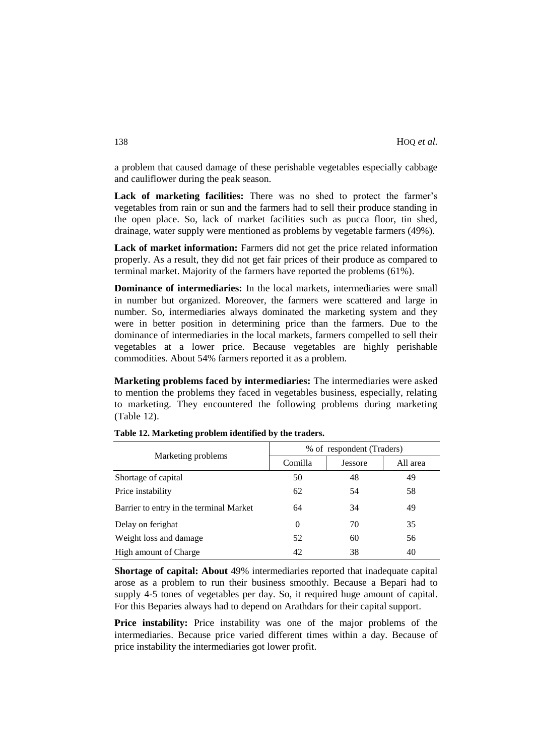a problem that caused damage of these perishable vegetables especially cabbage and cauliflower during the peak season.

Lack of marketing facilities: There was no shed to protect the farmer's vegetables from rain or sun and the farmers had to sell their produce standing in the open place. So, lack of market facilities such as pucca floor, tin shed, drainage, water supply were mentioned as problems by vegetable farmers (49%).

Lack of market information: Farmers did not get the price related information properly. As a result, they did not get fair prices of their produce as compared to terminal market. Majority of the farmers have reported the problems (61%).

**Dominance of intermediaries:** In the local markets, intermediaries were small in number but organized. Moreover, the farmers were scattered and large in number. So, intermediaries always dominated the marketing system and they were in better position in determining price than the farmers. Due to the dominance of intermediaries in the local markets, farmers compelled to sell their vegetables at a lower price. Because vegetables are highly perishable commodities. About 54% farmers reported it as a problem.

**Marketing problems faced by intermediaries:** The intermediaries were asked to mention the problems they faced in vegetables business, especially, relating to marketing. They encountered the following problems during marketing (Table 12).

|                                         | % of respondent (Traders) |         |          |  |
|-----------------------------------------|---------------------------|---------|----------|--|
| Marketing problems                      | Comilla                   | Jessore | All area |  |
| Shortage of capital                     | 50                        | 48      | 49       |  |
| Price instability                       | 62                        | 54      | 58       |  |
| Barrier to entry in the terminal Market | 64                        | 34      | 49       |  |
| Delay on ferighat                       | $\theta$                  | 70      | 35       |  |
| Weight loss and damage                  | 52                        | 60      | 56       |  |
| High amount of Charge                   | 42                        | 38      | 40       |  |

**Table 12. Marketing problem identified by the traders.**

**Shortage of capital: About** 49% intermediaries reported that inadequate capital arose as a problem to run their business smoothly. Because a Bepari had to supply 4-5 tones of vegetables per day. So, it required huge amount of capital. For this Beparies always had to depend on Arathdars for their capital support.

Price instability: Price instability was one of the major problems of the intermediaries. Because price varied different times within a day. Because of price instability the intermediaries got lower profit.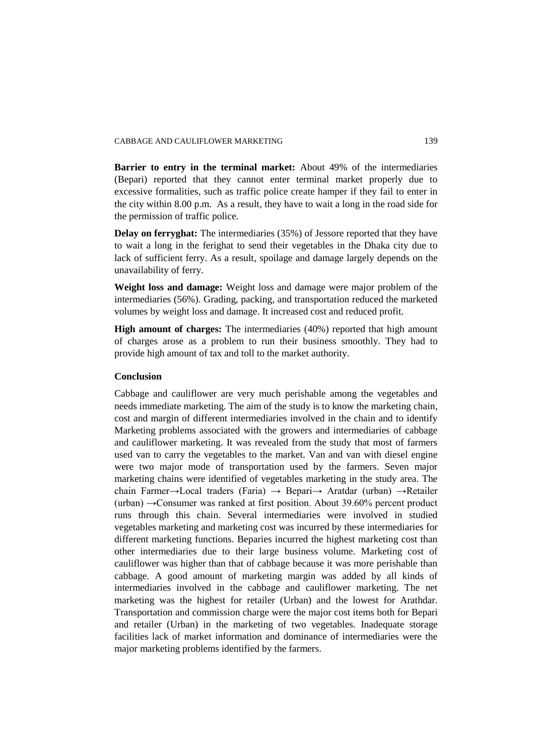**Barrier to entry in the terminal market:** About 49% of the intermediaries (Bepari) reported that they cannot enter terminal market properly due to excessive formalities, such as traffic police create hamper if they fail to enter in the city within 8.00 p.m. As a result, they have to wait a long in the road side for the permission of traffic police.

**Delay on ferryghat:** The intermediaries (35%) of Jessore reported that they have to wait a long in the ferighat to send their vegetables in the Dhaka city due to lack of sufficient ferry. As a result, spoilage and damage largely depends on the unavailability of ferry.

**Weight loss and damage:** Weight loss and damage were major problem of the intermediaries (56%). Grading, packing, and transportation reduced the marketed volumes by weight loss and damage. It increased cost and reduced profit.

**High amount of charges:** The intermediaries (40%) reported that high amount of charges arose as a problem to run their business smoothly. They had to provide high amount of tax and toll to the market authority.

## **Conclusion**

Cabbage and cauliflower are very much perishable among the vegetables and needs immediate marketing. The aim of the study is to know the marketing chain, cost and margin of different intermediaries involved in the chain and to identify Marketing problems associated with the growers and intermediaries of cabbage and cauliflower marketing. It was revealed from the study that most of farmers used van to carry the vegetables to the market. Van and van with diesel engine were two major mode of transportation used by the farmers. Seven major marketing chains were identified of vegetables marketing in the study area. The chain Farmer→Local traders (Faria) → Bepari→ Aratdar (urban) →Retailer (urban)  $\rightarrow$  Consumer was ranked at first position. About 39.60% percent product runs through this chain. Several intermediaries were involved in studied vegetables marketing and marketing cost was incurred by these intermediaries for different marketing functions. Beparies incurred the highest marketing cost than other intermediaries due to their large business volume. Marketing cost of cauliflower was higher than that of cabbage because it was more perishable than cabbage. A good amount of marketing margin was added by all kinds of intermediaries involved in the cabbage and cauliflower marketing. The net marketing was the highest for retailer (Urban) and the lowest for Arathdar. Transportation and commission charge were the major cost items both for Bepari and retailer (Urban) in the marketing of two vegetables. Inadequate storage facilities lack of market information and dominance of intermediaries were the major marketing problems identified by the farmers.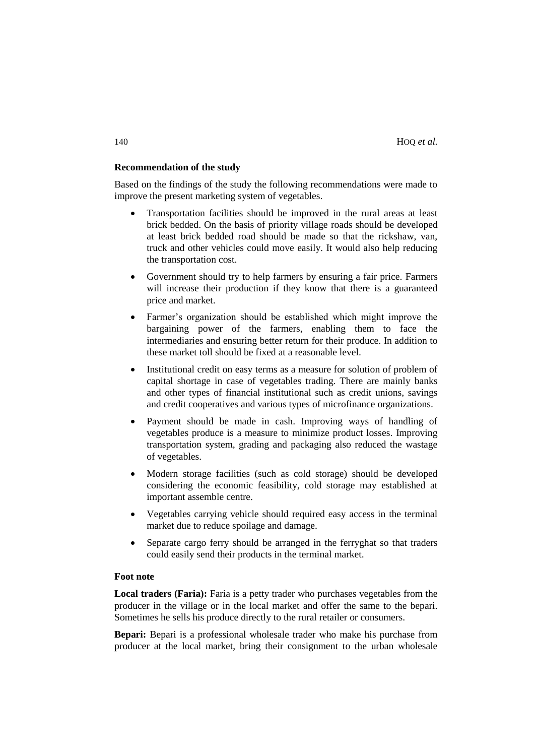# **Recommendation of the study**

Based on the findings of the study the following recommendations were made to improve the present marketing system of vegetables.

- Transportation facilities should be improved in the rural areas at least brick bedded. On the basis of priority village roads should be developed at least brick bedded road should be made so that the rickshaw, van, truck and other vehicles could move easily. It would also help reducing the transportation cost.
- Government should try to help farmers by ensuring a fair price. Farmers will increase their production if they know that there is a guaranteed price and market.
- Farmer's organization should be established which might improve the bargaining power of the farmers, enabling them to face the intermediaries and ensuring better return for their produce. In addition to these market toll should be fixed at a reasonable level.
- Institutional credit on easy terms as a measure for solution of problem of capital shortage in case of vegetables trading. There are mainly banks and other types of financial institutional such as credit unions, savings and credit cooperatives and various types of microfinance organizations.
- Payment should be made in cash. Improving ways of handling of vegetables produce is a measure to minimize product losses. Improving transportation system, grading and packaging also reduced the wastage of vegetables.
- Modern storage facilities (such as cold storage) should be developed considering the economic feasibility, cold storage may established at important assemble centre.
- Vegetables carrying vehicle should required easy access in the terminal market due to reduce spoilage and damage.
- Separate cargo ferry should be arranged in the ferryghat so that traders could easily send their products in the terminal market.

## **Foot note**

**Local traders (Faria):** Faria is a petty trader who purchases vegetables from the producer in the village or in the local market and offer the same to the bepari. Sometimes he sells his produce directly to the rural retailer or consumers.

**Bepari:** Bepari is a professional wholesale trader who make his purchase from producer at the local market, bring their consignment to the urban wholesale